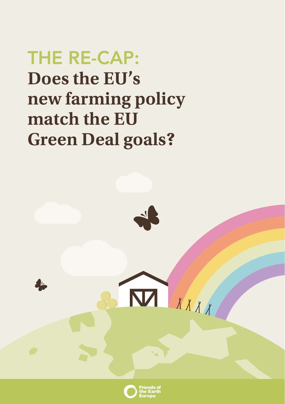# THE RE-CAP: **Does the EU's new farming policy match the EU Green Deal goals?**



 $\overline{\mathbf{M}}$ 

XXXX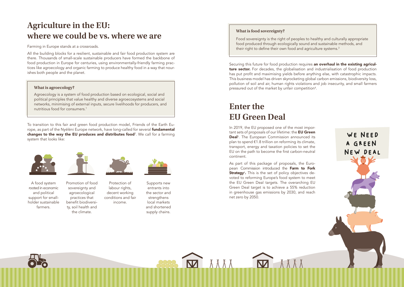## <span id="page-1-0"></span>**Agriculture in the EU: where we could be vs. where we are**

#### Farming in Europe stands at a crossroads.

All the building blocks for a resilient, sustainable and fair food production system are there. Thousands of small-scale sustainable producers have formed the backbone of food production in Europe for centuries, using environmentally-friendly farming practices like agroecology and organic farming to produce healthy food in a way that nourishes both people and the planet.

#### **What is agroecology?**

Agroecology is a system of food production based on ecological, social and political principles that value healthy and diverse agroecosystems and social networks, minimising of external inputs, secure livelihoods for producers, and nutritious food for consumers.[1](#page-5-0)

To transition to this fair and green food production model, Friends of the Earth Europe, as part of the Nyéléni Europe network, have long-called for several **fundamental changes to the way the EU produces and distributes food**<sup>[2](#page-5-0)</sup>. We call for a farming system that looks like:



A food system rooted in economic and political support for smallholder sustainable farmers.



Promotion of food sovereignty and agroecological practices that benefit biodiversity, soil health and the climate.



Protection of labour rights, decent working conditions and fair income. supply chains.



Supports new entrants into the sector and strengthens local markets and shortened

### **What is food sovereignty?**

Food sovereignty is the right of peoples to healthy and culturally appropriate food produced through ecologically sound and sustainable methods, and their right to define their own food and agriculture systems.<sup>[3](#page-5-0)</sup>

Securing this future for food production requires an overhaul in the existing agriculture sector. For decades, the globalisation and industrialisation of food production has put profit and maximising yields before anything else, with catastrophic impacts. This business model has driven skyrocketing global carbon emissions, biodiversity loss, pollution of soil and air, human rights violations and job insecurity, and small farmers pressured out of the market by unfair competition<sup>[4](#page-5-0)</sup>.

## **Enter the EU Green Deal**

头头头人

In 2019, the EU proposed one of the most important sets of proposals of our lifetime: the **EU Green Deal**<sup>[5](#page-5-0)</sup>. The European Commission announced its plan to spend €1.8 trillion on reforming its climate, transport, energy and taxation policies to set the EU on the path to become the first carbon-neutral continent.

As part of this package of proposals, the European Commission introduced the Farm to Fork **Strategy**<sup>[6](#page-5-0)</sup>. This is the set of policy objectives devoted to reforming Europe's food system to meet the EU Green Deal targets. The overarching EU Green Deal target is to achieve a 55% reduction in greenhouse gas emissions by 2030, and reach net zero by 2050.

 $\overline{\mathbf{M}}$ 

WE NEED A GREEN NEW DEAL

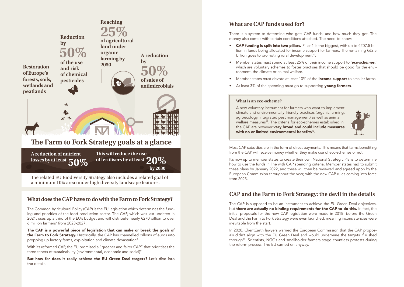<span id="page-2-0"></span>

The related EU Biodiversity Strategy also includes a related goal of a minimum 10% area under high diversity landscape features.

## **What does the CAP have to do with the Farm to Fork Strategy?**

The Common Agricultural Policy (CAP) is the EU legislation which determines the funding and priorities of the food production sector. The CAP, which was last updated in 2021, uses up a third of the EU's budget and will distribute nearly €270 billion to over  $6$  million farmers $7$  from 2023-2027.

The CAP is a powerful piece of legislation that can make or break the goals of the Farm to Fork Strategy. Historically, the CAP has channelled billions of euros into propping up factory farms, exploitation and climate devastation<sup>[8](#page-5-0)</sup>.

With its reformed CAP, the EU promised a "greener and fairer CAP" that prioritises the three tenets of sustainability (environmental, economic and social)<sup>9</sup>.

But how far does it really achieve the EU Green Deal targets? Let's dive into the details.

## **What are CAP funds used for?**

There is a system to determine who gets CAP funds, and how much they get. The money also comes with certain conditions attached. The need-to-know:

- CAP funding is split into two pillars. Pillar 1 is the biggest, with up to  $\epsilon$ 207.5 billion in funds being allocated for income support for farmers. The remaining €62.5 billion goes to promoting rural development<sup>10</sup>.
- Member states must spend at least 25% of their income support to '*eco-schemes*,' which are voluntary schemes to foster practises that should be good for the environment, the climate or animal welfare.
- Member states must devote at least 10% of the **income support** to smaller farms.
- At least 3% of the spending must go to supporting young farmers.

#### **What is an eco-scheme?**

A new voluntary instrument for farmers who want to implement climate and environmentally-friendly practises (organic farming, agroecology, integrated pest management) as well as animal welfare measures<sup>[11](#page-5-0)</sup>. The criteria for eco-schemes established in the CAP are however very broad and could include measures with no or limited environmental benefits $12$ .



Most CAP subsidies are in the form of direct payments. This means that farms benefiting from the CAP will receive money whether they make use of eco-schemes or not.

It's now up to member states to create their own National Strategic Plans to determine how to use the funds in line with CAP spending criteria. Member states had to submit these plans by January 2022, and these will then be reviewed and agreed upon by the European Commission throughout the year, with the new CAP rules coming into force from 2023.

## **CAP and the Farm to Fork Strategy: the devil in the details**

The CAP is supposed to be an instrument to achieve the EU Green Deal objectives, but there are actually no binding requirements for the CAP to do this. In fact, the initial proposals for the new CAP legislation were made in 2018, before the Green Deal and the Farm to Fork Strategy were even launched, meaning inconsistencies were inevitable from the start.

In 2020, ClientEarth lawyers warned the European Commission that the CAP proposals didn't align with the EU Green Deal and would undermine the targets if rushed throug[h13](#page-5-0). Scientists, NGOs and smallholder farmers stage countless protests during the reform process. The EU carried on anyway.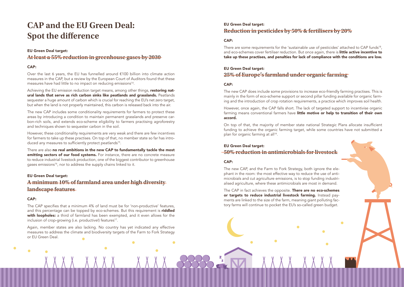## <span id="page-3-0"></span>**CAP and the EU Green Deal: Spot the difference**

### EU Green Deal target:

## **At least a 55% reduction in greenhouse gases by 2030**

### CAP:

Over the last 6 years, the EU has funnelled around €100 billion into climate action measures in the CAP, but a review by the European Court of Auditors found that these measures have had little to no impact on reducing emissions<sup>14</sup>.

Achieving the EU emission reduction target means, among other things, restoring natural lands that serve as rich carbon sinks like peatlands and grasslands. Peatlands sequester a huge amount of carbon which is crucial for reaching the EU's net zero target, but when the land is not properly maintained, this carbon is released back into the air.

The new CAP includes some conditionality requirements for farmers to protect these areas by introducing a condition to maintain permanent grasslands and preserve carbon-rich soils, and extends eco-scheme eligibility to farmers practising agroforestry and techniques shown to sequester carbon in the soil.

However, these conditionality requirements are very weak and there are few incentives for farmers to take up these practises. On top of that, no member state so far has intro-duced any measures to sufficiently protect peatlands<sup>[15](#page-5-0)</sup>.

There are also no real ambitions in the new CAP to fundamentally tackle the most emitting sectors of our food systems. For instance, there are no concrete measure to reduce industrial livestock production, one of the biggest contributor to greenhouse gases emissions<sup>[16](#page-5-0)</sup>, nor to address the supply chains linked to it.

#### EU Green Deal target:

## **A minimum 10% of farmland area under high diversity landscape features**

#### CAP:

The CAP specifies that a minimum 4% of land must be for 'non-productive' features, and this percentage can be topped by eco-schemes. But this requirement is **riddled** with loopholes: a third of farmland has been exempted, and it even allows for the inclusion of crop-growing (i.e. productive!) features<sup>17</sup>.

Again, member states are also lacking. No country has yet indicated any effective measures to address the climate and biodiversity targets of the Farm to Fork Strategy or EU Green Deal.

## EU Green Deal target: **Reduction in pesticides by 50% & fertilisers by 20%**

### CAP:

There are some requirements for the 'sustainable use of pesticides' attached to CAP funds<sup>18</sup>, and eco-schemes cover fertiliser reduction. But once again, there is little active incentive to take up these practises, and penalties for lack of compliance with the conditions are low.

### EU Green Deal target:

## **25% of Europe's farmland under organic farming**

### CAP:

The new CAP does include some provisions to increase eco-friendly farming practises. This is mainly in the form of eco-scheme support or second pillar funding available for organic farming and the introduction of crop rotation requirements, a practice which improves soil health.

However, once again, the CAP falls short. The lack of targeted support to incentivise organic farming means conventional farmers have little motive or help to transition of their own accord.

On top of that, the majority of member state national Strategic Plans allocate insufficient funding to achieve the organic farming target, while some countries have not submitted a plan for organic farming at all<sup>[19](#page-5-0)</sup>.

## EU Green Deal target:

## **50% reduction in antimicrobials for livestock**

#### CAP:

The new CAP, and the Farm to Fork Strategy, both ignore the elephant in the room: the most effective way to reduce the use of antimicrobials and cut agriculture emissions, is to stop funding industrialised agriculture, where these antimicrobials are most in demand.

The CAP in fact achieves the opposite. There are no eco-schemes or targets to reduce industrial livestock farming. Instead payments are linked to the size of the farm, meaning giant polluting factory farms will continue to pocket the EU's so-called green budget.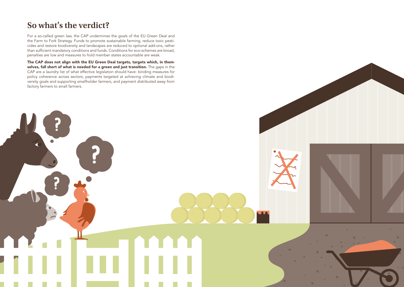## **So what's the verdict?**

?

?

For a so-called green law, the CAP undermines the goals of the EU Green Deal and the Farm to Fork Strategy. Funds to promote sustainable farming, reduce toxic pesticides and restore biodiversity and landscapes are reduced to optional add-ons, rather than sufficient mandatory conditions and funds. Conditions for eco-schemes are broad, penalties are low and measures to hold member states accountable are weak.

The CAP does not align with the EU Green Deal targets, targets which, in themselves, fall short of what is needed for a green and just transition. The gaps in the CAP are a laundry list of what effective legislation should have: binding measures for policy coherence across sectors, payments targeted at achieving climate and biodiversity goals and supporting smallholder farmers, and payment distributed away from factory farmers to small farmers.

?

**A**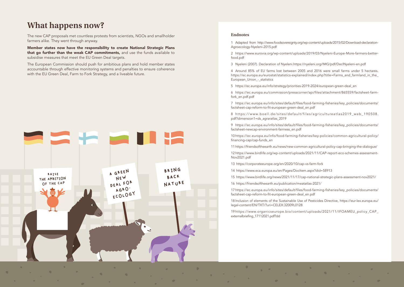## <span id="page-5-0"></span>**What happens now?**

The new CAP proposals met countless protests from scientists, NGOs and smallholder farmers alike. They went through anyway.

Member states now have the responsibility to create National Strategic Plans that go further than the weak CAP commitments, and use the funds available to subsidise measures that meet the EU Green Deal targets.

The European Commission should push for ambitious plans and hold member states accountable through effective monitoring systems and penalties to ensure coherence with the EU Green Deal, Farm to Fork Strategy, and a liveable future.



#### **Endnotes**

[1](#page-1-0) Adapted from http://www.foodsovereignty.org/wp-content/uploads/2015/02/Download-declaration-Agroecology-Nyeleni-2015.pdf

[2](#page-1-0) https://www.eurovia.org/wp-content/uploads/2019/03/Nyeleni-Europe-More-farmers-betterfood.pdf

[3](#page-1-0) Nyeleni (2007). Declaration of Nyeleni.https://nyeleni.org/IMG/pdf/DeclNyeleni-en.pdf

[4](#page-1-0) Around 85% of EU farms lost between 2005 and 2016 were small farms under 5 hectares. https://ec.europa.eu/eurostat/statistics-explained/index.php?title=Farms\_and\_farmland\_in\_the\_ European\_Union\_-\_statistics

[5](#page-1-0) https://ec.europa.eu/info/strategy/priorities-2019-2024/european-green-deal\_en

[6](#page-1-0) https://ec.europa.eu/commission/presscorner/api/files/attachment/865559/factsheet-farmfork\_en.pdf.pdf

[7](#page-2-0) https://ec.europa.eu/info/sites/default/files/food-farming-fisheries/key\_policies/documents/ factsheet-cap-reform-to-fit-european-green-deal\_en.pdf

[8](#page-2-0) https://www.boell.de/sites/default/files/agricultureatlas2019 web 190508. pdf?dimension1=ds\_agraratlas\_2019

[9](#page-2-0) https://ec.europa.eu/info/sites/default/files/food-farming-fisheries/key\_policies/documents/ factsheet-newcap-environment-fairness\_en.pdf

[10](#page-2-0) https://ec.europa.eu/info/food-farming-fisheries/key-policies/common-agricultural-policy/ financing-cap/cap-funds\_en

[11](#page-2-0) https://friendsoftheearth.eu/news/new-common-agricultural-policy-cap-bringing-the-dialogue/

[12](#page-2-0) https://www.birdlife.org/wp-content/uploads/2021/11/CAP-report-eco-schemes-assessment-Nov2021.pdf

[13](#page-2-0) https://corporateeurope.org/en/2020/10/cap-vs-farm-fork

[14](#page-3-0) https://www.eca.europa.eu/en/Pages/DocItem.aspx?did=58913

[15](#page-3-0) https://www.birdlife.org/news/2021/11/17/cap-national-strategic-plans-assessment-nov2021/

[16](#page-3-0) https://friendsoftheearth.eu/publication/meatatlas-2021/

[17](#page-3-0) https://ec.europa.eu/info/sites/default/files/food-farming-fisheries/key\_policies/documents/ factsheet-cap-reform-to-fit-european-green-deal\_en.pdf

[18](#page-3-0) Inclusion of elements of the Sustainable Use of Pesticides Directive, https://eur-lex.europa.eu/ legal-content/EN/TXT/?uri=CELEX:32009L0128

[19](#page-3-0) https://www.organicseurope.bio/content/uploads/2021/11/IFOAMEU\_policy\_CAP\_ externalbriefing\_17112021.pdf?dd